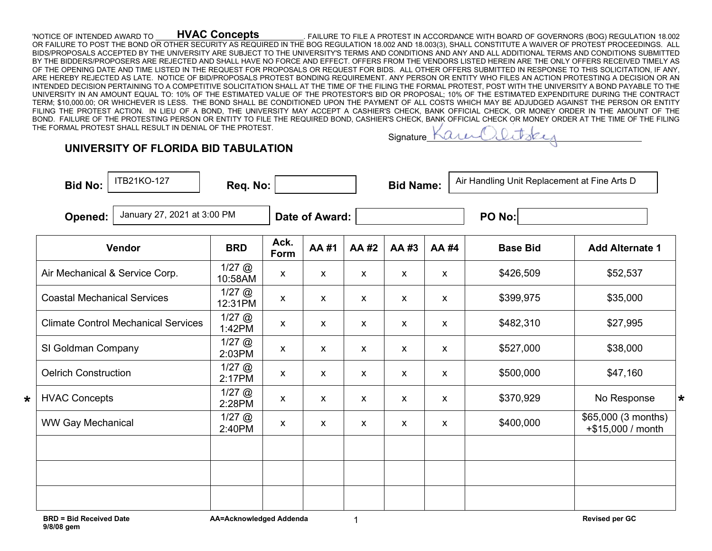## 'NOTICE OF INTENDED AWARD TO **HVAC CONCEPIS** FAILURE TO FILE A PROTEST IN ACCORDANCE WITH BOARD OF GOVERNORS (BOG) REGULATION 18.002 OR FAILURE TO POST THE BOND OR OTHER SECURITY AS REQUIRED IN THE BOG REGULATION 18.002 AND 18.003(3), SHALL CONSTITUTE A WAIVER OF PROTEST PROCEEDINGS. ALL BIDS/PROPOSALS ACCEPTED BY THE UNIVERSITY ARE SUBJECT TO THE UNIVERSITY'S TERMS AND CONDITIONS AND ANY AND ALL ADDITIONAL TERMS AND CONDITIONS SUBMITTED BY THE BIDDERS/PROPOSERS ARE REJECTED AND SHALL HAVE NO FORCE AND EFFECT. OFFERS FROM THE VENDORS LISTED HEREIN ARE THE ONLY OFFERS RECEIVED TIMELY AS OF THE OPENING DATE AND TIME LISTED IN THE REQUEST FOR PROPOSALS OR REQUEST FOR BIDS. ALL OTHER OFFERS SUBMITTED IN RESPONSE TO THIS SOLICITATION, IF ANY, ARE HEREBY REJECTED AS LATE. NOTICE OF BID/PROPOSALS PROTEST BONDING REQUIREMENT. ANY PERSON OR ENTITY WHO FILES AN ACTION PROTESTING A DECISION OR AN INTENDED DECISION PERTAINING TO A COMPETITIVE SOLICITATION SHALL AT THE TIME OF THE FILING THE FORMAL PROTEST, POST WITH THE UNIVERSITY A BOND PAYABLE TO THE UNIVERSITY IN AN AMOUNT EQUAL TO: 10% OF THE ESTIMATED VALUE OF THE PROTESTOR'S BID OR PROPOSAL; 10% OF THE ESTIMATED EXPENDITURE DURING THE CONTRACT TERM; \$10,000.00; OR WHICHEVER IS LESS. THE BOND SHALL BE CONDITIONED UPON THE PAYMENT OF ALL COSTS WHICH MAY BE ADJUDGED AGAINST THE PERSON OR ENTITY FILING THE PROTEST ACTION. IN LIEU OF A BOND, THE UNIVERSITY MAY ACCEPT A CASHIER'S CHECK, BANK OFFICIAL CHECK, OR MONEY ORDER IN THE AMOUNT OF THE BOND. FAILURE OF THE PROTESTING PERSON OR ENTITY TO FILE THE REQUIRED BOND, CASHIER'S CHECK, BANK OFFICIAL CHECK OR MONEY ORDER AT THE TIME OF THE FILING THE FORMAL PROTEST SHALL RESULT IN DENIAL OF THE PROTEST. **HVAC Concepts**

## **UNIVERSITY OF FLORIDA BID TABULATION**

**Bid No:** | **Req. No: | Req. No: | Bid Name:** 

**Signature** 

Air Handling Unit Replacement at Fine Arts D

**Opened:**  $\begin{array}{|c|c|c|c|}\n\hline\n\text{Standard:} & \text{January 27, 2021 at 3:00 PM} & \text{Date of Award:} \end{array}$ 

|   | Vendor                                     | <b>BRD</b>                 | Ack.<br>Form       | <b>AA#1</b>  | AA #2        | AA #3        | <b>AA#4</b>               | <b>Base Bid</b> | <b>Add Alternate 1</b>                   |
|---|--------------------------------------------|----------------------------|--------------------|--------------|--------------|--------------|---------------------------|-----------------|------------------------------------------|
|   | Air Mechanical & Service Corp.             | $1/27$ $\omega$<br>10:58AM | X                  | X            | X            | X            | X                         | \$426,509       | \$52,537                                 |
|   | <b>Coastal Mechanical Services</b>         | $1/27$ $@$<br>12:31PM      | X                  | X            | X            | X            | $\boldsymbol{\mathsf{X}}$ | \$399,975       | \$35,000                                 |
|   | <b>Climate Control Mechanical Services</b> | $1/27$ $\omega$<br>1:42PM  | X                  | $\mathsf{x}$ | $\mathsf{x}$ | $\mathsf{x}$ | $\boldsymbol{\mathsf{X}}$ | \$482,310       | \$27,995                                 |
|   | SI Goldman Company                         | $1/27$ @<br>2:03PM         | X                  | X            | X            | $\mathsf{x}$ | X                         | \$527,000       | \$38,000                                 |
|   | <b>Oelrich Construction</b>                | $1/27$ @<br>2:17PM         | X                  | X            | X            | X            | $\boldsymbol{\mathsf{X}}$ | \$500,000       | \$47,160                                 |
| * | <b>HVAC Concepts</b>                       | $1/27$ @<br>2:28PM         | $\pmb{\mathsf{x}}$ | X            | X            | $\mathsf{x}$ | X                         | \$370,929       | No Response                              |
|   | <b>WW Gay Mechanical</b>                   | $1/27$ @<br>2:40PM         | X                  | X            | X            | X            | $\boldsymbol{\mathsf{X}}$ | \$400,000       | \$65,000 (3 months)<br>+\$15,000 / month |
|   |                                            |                            |                    |              |              |              |                           |                 |                                          |
|   |                                            |                            |                    |              |              |              |                           |                 |                                          |
|   |                                            |                            |                    |              |              |              |                           |                 |                                          |